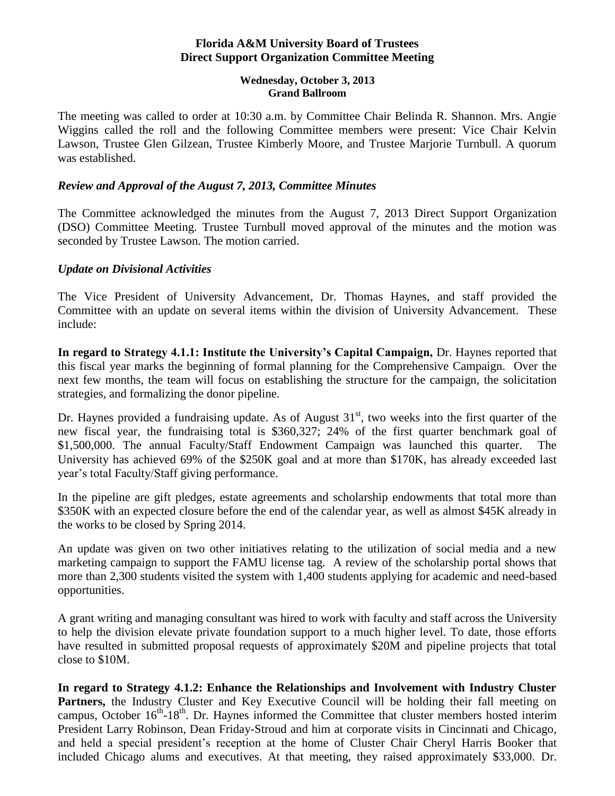## **Florida A&M University Board of Trustees Direct Support Organization Committee Meeting**

#### **Wednesday, October 3, 2013 Grand Ballroom**

The meeting was called to order at 10:30 a.m. by Committee Chair Belinda R. Shannon. Mrs. Angie Wiggins called the roll and the following Committee members were present: Vice Chair Kelvin Lawson, Trustee Glen Gilzean, Trustee Kimberly Moore, and Trustee Marjorie Turnbull. A quorum was established.

## *Review and Approval of the August 7, 2013, Committee Minutes*

The Committee acknowledged the minutes from the August 7, 2013 Direct Support Organization (DSO) Committee Meeting. Trustee Turnbull moved approval of the minutes and the motion was seconded by Trustee Lawson. The motion carried.

## *Update on Divisional Activities*

The Vice President of University Advancement, Dr. Thomas Haynes, and staff provided the Committee with an update on several items within the division of University Advancement. These include:

**In regard to Strategy 4.1.1: Institute the University's Capital Campaign,** Dr. Haynes reported that this fiscal year marks the beginning of formal planning for the Comprehensive Campaign. Over the next few months, the team will focus on establishing the structure for the campaign, the solicitation strategies, and formalizing the donor pipeline.

Dr. Haynes provided a fundraising update. As of August  $31<sup>st</sup>$ , two weeks into the first quarter of the new fiscal year, the fundraising total is \$360,327; 24% of the first quarter benchmark goal of \$1,500,000. The annual Faculty/Staff Endowment Campaign was launched this quarter. The University has achieved 69% of the \$250K goal and at more than \$170K, has already exceeded last year's total Faculty/Staff giving performance.

In the pipeline are gift pledges, estate agreements and scholarship endowments that total more than \$350K with an expected closure before the end of the calendar year, as well as almost \$45K already in the works to be closed by Spring 2014.

An update was given on two other initiatives relating to the utilization of social media and a new marketing campaign to support the FAMU license tag. A review of the scholarship portal shows that more than 2,300 students visited the system with 1,400 students applying for academic and need-based opportunities.

A grant writing and managing consultant was hired to work with faculty and staff across the University to help the division elevate private foundation support to a much higher level. To date, those efforts have resulted in submitted proposal requests of approximately \$20M and pipeline projects that total close to \$10M.

**In regard to Strategy 4.1.2: Enhance the Relationships and Involvement with Industry Cluster**  Partners, the Industry Cluster and Key Executive Council will be holding their fall meeting on campus, October 16<sup>th</sup>-18<sup>th</sup>. Dr. Haynes informed the Committee that cluster members hosted interim President Larry Robinson, Dean Friday-Stroud and him at corporate visits in Cincinnati and Chicago, and held a special president's reception at the home of Cluster Chair Cheryl Harris Booker that included Chicago alums and executives. At that meeting, they raised approximately \$33,000. Dr.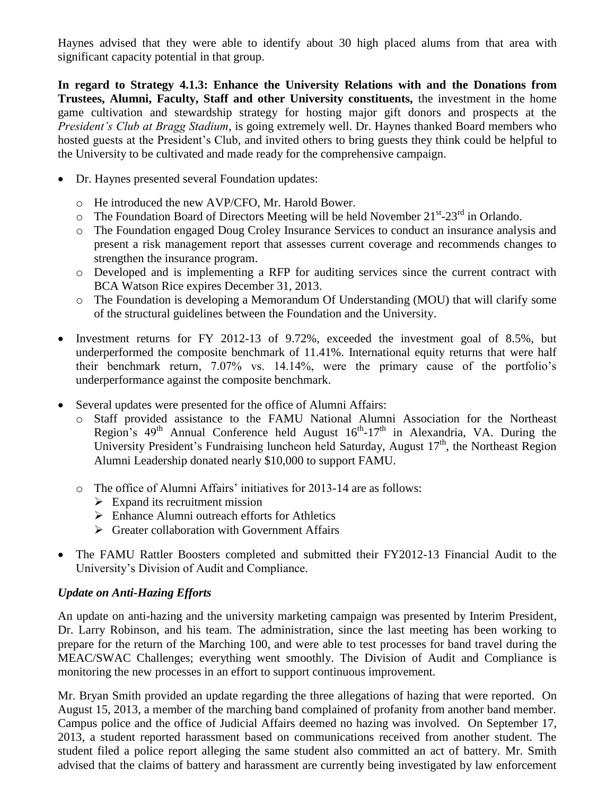Haynes advised that they were able to identify about 30 high placed alums from that area with significant capacity potential in that group.

**In regard to Strategy 4.1.3: Enhance the University Relations with and the Donations from Trustees, Alumni, Faculty, Staff and other University constituents,** the investment in the home game cultivation and stewardship strategy for hosting major gift donors and prospects at the *President's Club at Bragg Stadium*, is going extremely well. Dr. Haynes thanked Board members who hosted guests at the President's Club, and invited others to bring guests they think could be helpful to the University to be cultivated and made ready for the comprehensive campaign.

- Dr. Haynes presented several Foundation updates:
	- o He introduced the new AVP/CFO, Mr. Harold Bower.
	- $\circ$  The Foundation Board of Directors Meeting will be held November 21<sup>st</sup>-23<sup>rd</sup> in Orlando.
	- o The Foundation engaged Doug Croley Insurance Services to conduct an insurance analysis and present a risk management report that assesses current coverage and recommends changes to strengthen the insurance program.
	- o Developed and is implementing a RFP for auditing services since the current contract with BCA Watson Rice expires December 31, 2013.
	- o The Foundation is developing a Memorandum Of Understanding (MOU) that will clarify some of the structural guidelines between the Foundation and the University.
- Investment returns for FY 2012-13 of 9.72%, exceeded the investment goal of 8.5%, but underperformed the composite benchmark of 11.41%. International equity returns that were half their benchmark return, 7.07% vs. 14.14%, were the primary cause of the portfolio's underperformance against the composite benchmark.
- Several updates were presented for the office of Alumni Affairs:
	- o Staff provided assistance to the FAMU National Alumni Association for the Northeast Region's  $49<sup>th</sup>$  Annual Conference held August  $16<sup>th</sup>$ -17<sup>th</sup> in Alexandria, VA. During the University President's Fundraising luncheon held Saturday, August 17<sup>th</sup>, the Northeast Region Alumni Leadership donated nearly \$10,000 to support FAMU.
	- o The office of Alumni Affairs' initiatives for 2013-14 are as follows:
		- $\triangleright$  Expand its recruitment mission
		- Enhance Alumni outreach efforts for Athletics
		- $\triangleright$  Greater collaboration with Government Affairs
- The FAMU Rattler Boosters completed and submitted their FY2012-13 Financial Audit to the University's Division of Audit and Compliance.

# *Update on Anti-Hazing Efforts*

An update on anti-hazing and the university marketing campaign was presented by Interim President, Dr. Larry Robinson, and his team. The administration, since the last meeting has been working to prepare for the return of the Marching 100, and were able to test processes for band travel during the MEAC/SWAC Challenges; everything went smoothly. The Division of Audit and Compliance is monitoring the new processes in an effort to support continuous improvement.

Mr. Bryan Smith provided an update regarding the three allegations of hazing that were reported. On August 15, 2013, a member of the marching band complained of profanity from another band member. Campus police and the office of Judicial Affairs deemed no hazing was involved. On September 17, 2013, a student reported harassment based on communications received from another student. The student filed a police report alleging the same student also committed an act of battery. Mr. Smith advised that the claims of battery and harassment are currently being investigated by law enforcement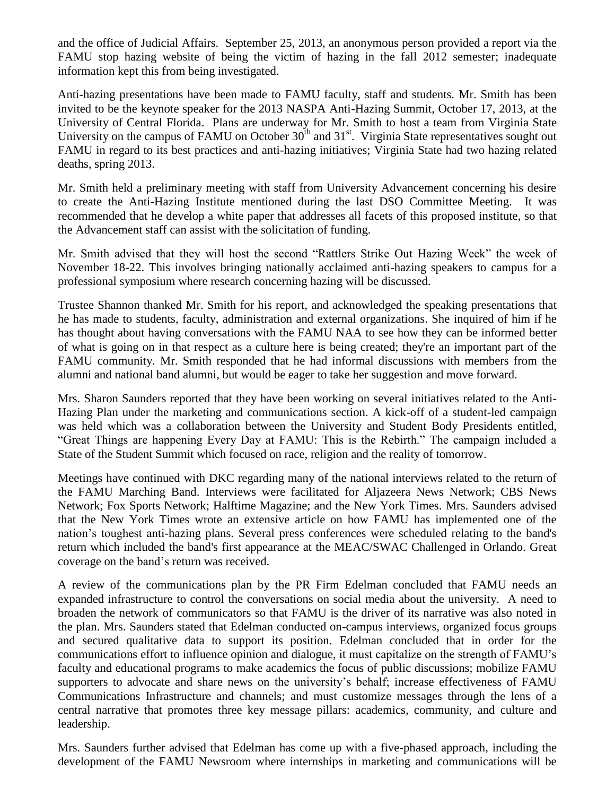and the office of Judicial Affairs. September 25, 2013, an anonymous person provided a report via the FAMU stop hazing website of being the victim of hazing in the fall 2012 semester; inadequate information kept this from being investigated.

Anti-hazing presentations have been made to FAMU faculty, staff and students. Mr. Smith has been invited to be the keynote speaker for the 2013 NASPA Anti-Hazing Summit, October 17, 2013, at the University of Central Florida. Plans are underway for Mr. Smith to host a team from Virginia State University on the campus of FAMU on October  $30<sup>th</sup>$  and  $31<sup>st</sup>$ . Virginia State representatives sought out FAMU in regard to its best practices and anti-hazing initiatives; Virginia State had two hazing related deaths, spring 2013.

Mr. Smith held a preliminary meeting with staff from University Advancement concerning his desire to create the Anti-Hazing Institute mentioned during the last DSO Committee Meeting. It was recommended that he develop a white paper that addresses all facets of this proposed institute, so that the Advancement staff can assist with the solicitation of funding.

Mr. Smith advised that they will host the second "Rattlers Strike Out Hazing Week" the week of November 18-22. This involves bringing nationally acclaimed anti-hazing speakers to campus for a professional symposium where research concerning hazing will be discussed.

Trustee Shannon thanked Mr. Smith for his report, and acknowledged the speaking presentations that he has made to students, faculty, administration and external organizations. She inquired of him if he has thought about having conversations with the FAMU NAA to see how they can be informed better of what is going on in that respect as a culture here is being created; they're an important part of the FAMU community. Mr. Smith responded that he had informal discussions with members from the alumni and national band alumni, but would be eager to take her suggestion and move forward.

Mrs. Sharon Saunders reported that they have been working on several initiatives related to the Anti-Hazing Plan under the marketing and communications section. A kick-off of a student-led campaign was held which was a collaboration between the University and Student Body Presidents entitled, "Great Things are happening Every Day at FAMU: This is the Rebirth." The campaign included a State of the Student Summit which focused on race, religion and the reality of tomorrow.

Meetings have continued with DKC regarding many of the national interviews related to the return of the FAMU Marching Band. Interviews were facilitated for Aljazeera News Network; CBS News Network; Fox Sports Network; Halftime Magazine; and the New York Times. Mrs. Saunders advised that the New York Times wrote an extensive article on how FAMU has implemented one of the nation's toughest anti-hazing plans. Several press conferences were scheduled relating to the band's return which included the band's first appearance at the MEAC/SWAC Challenged in Orlando. Great coverage on the band's return was received.

A review of the communications plan by the PR Firm Edelman concluded that FAMU needs an expanded infrastructure to control the conversations on social media about the university. A need to broaden the network of communicators so that FAMU is the driver of its narrative was also noted in the plan. Mrs. Saunders stated that Edelman conducted on-campus interviews, organized focus groups and secured qualitative data to support its position. Edelman concluded that in order for the communications effort to influence opinion and dialogue, it must capitalize on the strength of FAMU's faculty and educational programs to make academics the focus of public discussions; mobilize FAMU supporters to advocate and share news on the university's behalf; increase effectiveness of FAMU Communications Infrastructure and channels; and must customize messages through the lens of a central narrative that promotes three key message pillars: academics, community, and culture and leadership.

Mrs. Saunders further advised that Edelman has come up with a five-phased approach, including the development of the FAMU Newsroom where internships in marketing and communications will be